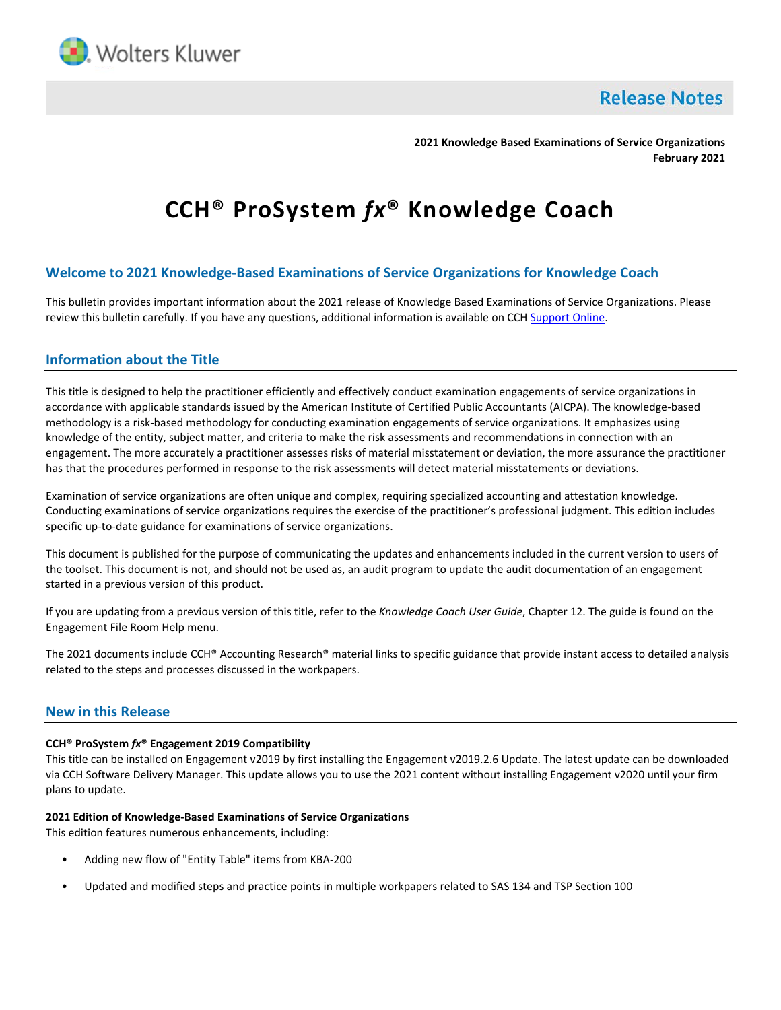

**Release Notes** 

**2021 Knowledge Based Examinations of Service Organizations February 2021**

# **CCH® ProSystem** *fx***® Knowledge Coach**

# **Welcome to 2021 Knowledge-Based Examinations of Service Organizations for Knowledge Coach**

This bulletin provides important information about the 2021 release of Knowledge Based Examinations of Service Organizations. Please review this bulletin carefully. If you have any questions, additional information is available on CCH [Support Online.](http://support.cch.com/productsupport/)

# **Information about the Title**

This title is designed to help the practitioner efficiently and effectively conduct examination engagements of service organizations in accordance with applicable standards issued by the American Institute of Certified Public Accountants (AICPA). The knowledge-based methodology is a risk-based methodology for conducting examination engagements of service organizations. It emphasizes using knowledge of the entity, subject matter, and criteria to make the risk assessments and recommendations in connection with an engagement. The more accurately a practitioner assesses risks of material misstatement or deviation, the more assurance the practitioner has that the procedures performed in response to the risk assessments will detect material misstatements or deviations.

Examination of service organizations are often unique and complex, requiring specialized accounting and attestation knowledge. Conducting examinations of service organizations requires the exercise of the practitioner's professional judgment. This edition includes specific up-to-date guidance for examinations of service organizations.

This document is published for the purpose of communicating the updates and enhancements included in the current version to users of the toolset. This document is not, and should not be used as, an audit program to update the audit documentation of an engagement started in a previous version of this product.

If you are updating from a previous version of this title, refer to the *Knowledge Coach User Guide*, Chapter 12. The guide is found on the Engagement File Room Help menu.

The 2021 documents include CCH® Accounting Research® material links to specific guidance that provide instant access to detailed analysis related to the steps and processes discussed in the workpapers.

## **New in this Release**

#### **CCH® ProSystem** *fx***® Engagement 2019 Compatibility**

This title can be installed on Engagement v2019 by first installing the Engagement v2019.2.6 Update. The latest update can be downloaded via CCH Software Delivery Manager. This update allows you to use the 2021 content without installing Engagement v2020 until your firm plans to update.

#### **2021 Edition of Knowledge-Based Examinations of Service Organizations**

This edition features numerous enhancements, including:

- Adding new flow of "Entity Table" items from KBA-200
- Updated and modified steps and practice points in multiple workpapers related to SAS 134 and TSP Section 100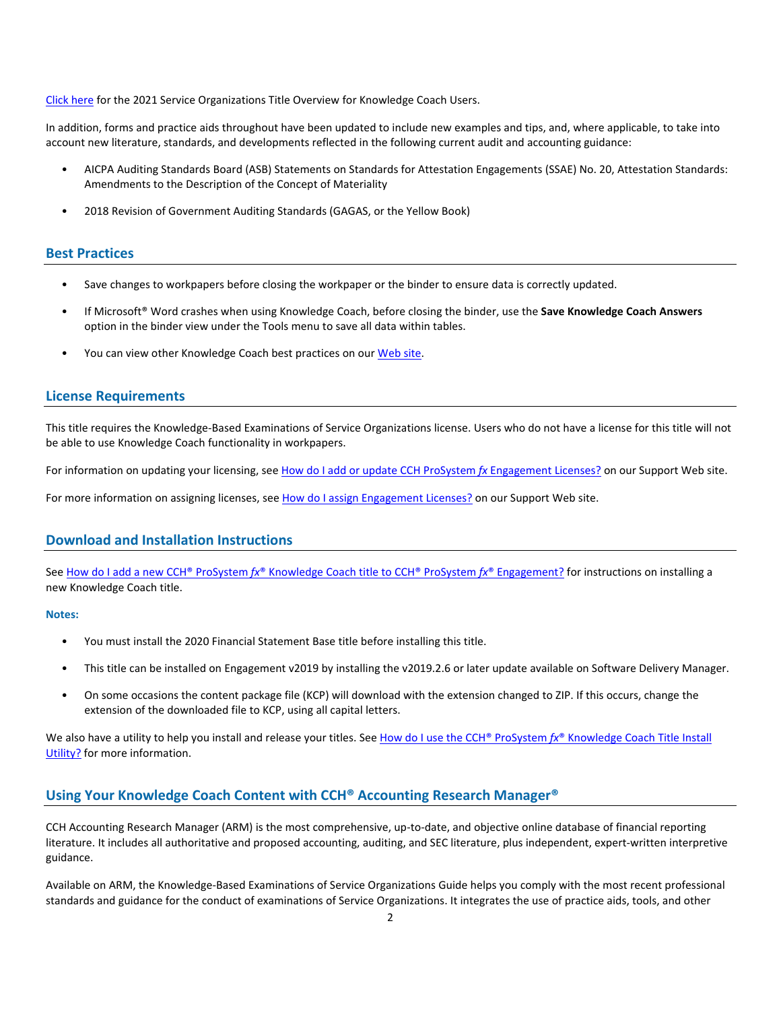[Click here](http://support.cch.com/updates/KnowledgeCoach/pdf/guides_tab/2021%20Service%20Organizations%20Title%20Overview%20for%20Knowledge%20Coach%20Users.pdf) for the 2021 Service Organizations Title Overview for Knowledge Coach Users.

In addition, forms and practice aids throughout have been updated to include new examples and tips, and, where applicable, to take into account new literature, standards, and developments reflected in the following current audit and accounting guidance:

- AICPA Auditing Standards Board (ASB) Statements on Standards for Attestation Engagements (SSAE) No. 20, Attestation Standards: Amendments to the Description of the Concept of Materiality
- 2018 Revision of Government Auditing Standards (GAGAS, or the Yellow Book)

### **Best Practices**

- Save changes to workpapers before closing the workpaper or the binder to ensure data is correctly updated.
- If Microsoft® Word crashes when using Knowledge Coach, before closing the binder, use the **Save Knowledge Coach Answers** option in the binder view under the Tools menu to save all data within tables.
- You can view other Knowledge Coach best practices on ou[r Web](https://support.cch.com/kb/solution/000034942/sw34947) site.

#### **License Requirements**

This title requires the Knowledge-Based Examinations of Service Organizations license. Users who do not have a license for this title will not be able to use Knowledge Coach functionality in workpapers.

For information on updating your licensing, see [How do I add or update CCH ProSystem](https://support.cch.com/kb/solution.aspx/sw3937) fx Engagement Licenses? on our Support Web site.

For more information on assigning licenses, see [How do I assign Engagement Licenses?](https://support.cch.com/kb/solution.aspx/sw3943) on our Support Web site.

## **Download and Installation Instructions**

See How do I add a new CCH® ProSystem *fx*[® Knowledge Coach title to CCH® ProSystem](https://support.cch.com/kb/solution/000033707/sw30271) *fx*® Engagement? for instructions on installing a new Knowledge Coach title.

#### **Notes:**

- You must install the 2020 Financial Statement Base title before installing this title.
- This title can be installed on Engagement v2019 by installing the v2019.2.6 or later update available on Software Delivery Manager.
- On some occasions the content package file (KCP) will download with the extension changed to ZIP. If this occurs, change the extension of the downloaded file to KCP, using all capital letters.

We also have a utility to help you install and release your titles. See How do I use the CCH® ProSystem  $fx^{\circ}$  Knowledge Coach Title Install [Utility?](https://support.cch.com/kb/solution/000096965/000096965) for more information.

# **Using Your Knowledge Coach Content with CCH® Accounting Research Manager®**

CCH Accounting Research Manager (ARM) is the most comprehensive, up-to-date, and objective online database of financial reporting literature. It includes all authoritative and proposed accounting, auditing, and SEC literature, plus independent, expert-written interpretive guidance.

Available on ARM, the Knowledge-Based Examinations of Service Organizations Guide helps you comply with the most recent professional standards and guidance for the conduct of examinations of Service Organizations. It integrates the use of practice aids, tools, and other